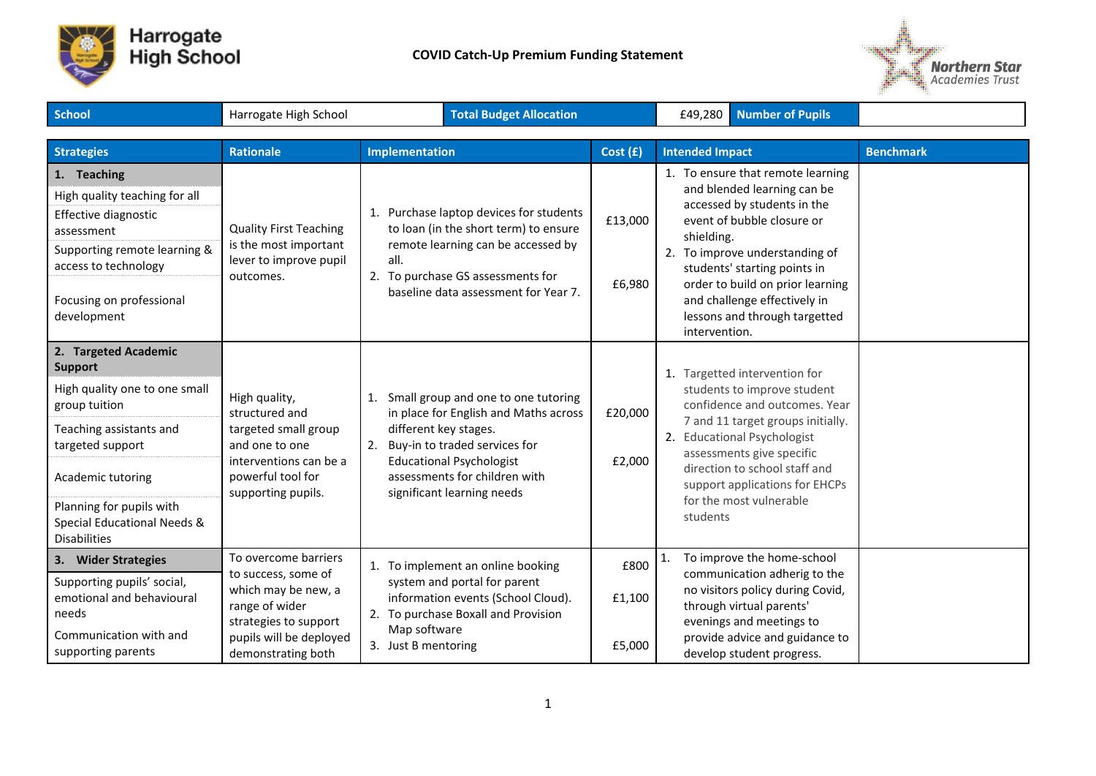



| School                                                                                                                                                                                                                                         | <b>Total Budget Allocation</b><br>Harrogate High School                                                                                                        |                                                                                                                                                                   |                                                                                                                                                                | £49,280 Number of Pupils |                                                                                                                                                                                                                                                                                                                                     |                                                                                                                                                                                                                                                                                              |                  |
|------------------------------------------------------------------------------------------------------------------------------------------------------------------------------------------------------------------------------------------------|----------------------------------------------------------------------------------------------------------------------------------------------------------------|-------------------------------------------------------------------------------------------------------------------------------------------------------------------|----------------------------------------------------------------------------------------------------------------------------------------------------------------|--------------------------|-------------------------------------------------------------------------------------------------------------------------------------------------------------------------------------------------------------------------------------------------------------------------------------------------------------------------------------|----------------------------------------------------------------------------------------------------------------------------------------------------------------------------------------------------------------------------------------------------------------------------------------------|------------------|
| <b>Strategies</b>                                                                                                                                                                                                                              | <b>Rationale</b>                                                                                                                                               | <b>Implementation</b>                                                                                                                                             |                                                                                                                                                                | Cost(f)                  | <b>Intended Impact</b>                                                                                                                                                                                                                                                                                                              |                                                                                                                                                                                                                                                                                              | <b>Benchmark</b> |
| 1. Teaching<br>High quality teaching for all<br>Effective diagnostic<br>assessment<br>Supporting remote learning &<br>access to technology<br>Focusing on professional<br>development                                                          | <b>Quality First Teaching</b><br>is the most important<br>lever to improve pupil<br>outcomes.                                                                  | all.<br>2. To purchase GS assessments for                                                                                                                         | 1. Purchase laptop devices for students<br>to loan (in the short term) to ensure<br>remote learning can be accessed by<br>baseline data assessment for Year 7. | £13,000<br>£6,980        | 1. To ensure that remote learning<br>and blended learning can be<br>accessed by students in the<br>event of bubble closure or<br>shielding.<br>2. To improve understanding of<br>students' starting points in<br>order to build on prior learning<br>and challenge effectively in<br>lessons and through targetted<br>intervention. |                                                                                                                                                                                                                                                                                              |                  |
| 2. Targeted Academic<br><b>Support</b><br>High quality one to one small<br>group tuition<br>Teaching assistants and<br>targeted support<br>Academic tutoring<br>Planning for pupils with<br>Special Educational Needs &<br><b>Disabilities</b> | High quality,<br>structured and<br>targeted small group<br>and one to one<br>interventions can be a<br>powerful tool for<br>supporting pupils.                 | 1.<br>different key stages.<br>2. Buy-in to traded services for<br><b>Educational Psychologist</b><br>assessments for children with<br>significant learning needs | Small group and one to one tutoring<br>in place for English and Maths across                                                                                   | £20,000<br>£2,000        | students                                                                                                                                                                                                                                                                                                                            | 1. Targetted intervention for<br>students to improve student<br>confidence and outcomes. Year<br>7 and 11 target groups initially.<br>2. Educational Psychologist<br>assessments give specific<br>direction to school staff and<br>support applications for EHCPs<br>for the most vulnerable |                  |
| 3. Wider Strategies<br>Supporting pupils' social,<br>emotional and behavioural<br>needs<br>Communication with and<br>supporting parents                                                                                                        | To overcome barriers<br>to success, some of<br>which may be new, a<br>range of wider<br>strategies to support<br>pupils will be deployed<br>demonstrating both | 1. To implement an online booking<br>system and portal for parent<br>2. To purchase Boxall and Provision<br>Map software<br>3. Just B mentoring                   | information events (School Cloud).                                                                                                                             | £800<br>£1,100<br>£5,000 | 1.                                                                                                                                                                                                                                                                                                                                  | To improve the home-school<br>communication adherig to the<br>no visitors policy during Covid,<br>through virtual parents'<br>evenings and meetings to<br>provide advice and guidance to<br>develop student progress.                                                                        |                  |